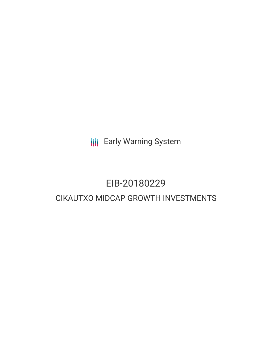**III** Early Warning System

## EIB-20180229 CIKAUTXO MIDCAP GROWTH INVESTMENTS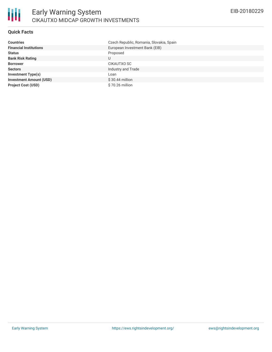

### **Quick Facts**

| <b>Countries</b>               | Czech Republic, Romania, Slovakia, Spain |
|--------------------------------|------------------------------------------|
| <b>Financial Institutions</b>  | European Investment Bank (EIB)           |
| <b>Status</b>                  | Proposed                                 |
| <b>Bank Risk Rating</b>        | U                                        |
| <b>Borrower</b>                | CIKAUTXO SC                              |
| <b>Sectors</b>                 | Industry and Trade                       |
| <b>Investment Type(s)</b>      | Loan                                     |
| <b>Investment Amount (USD)</b> | $$30.44$ million                         |
| <b>Project Cost (USD)</b>      | \$70.26 million                          |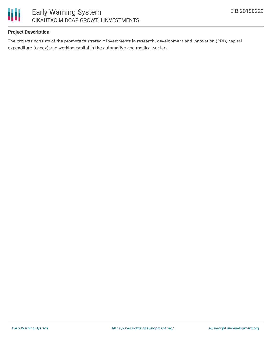

### **Project Description**

The projects consists of the promoter's strategic investments in research, development and innovation (RDI), capital expenditure (capex) and working capital in the automotive and medical sectors.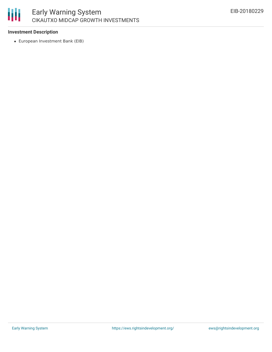# 朋

## **Investment Description**

European Investment Bank (EIB)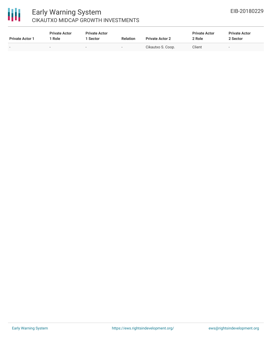## 冊

## Early Warning System CIKAUTXO MIDCAP GROWTH INVESTMENTS

| <b>Private Actor 1</b>   | <b>Private Actor</b><br>1 Role | <b>Private Actor</b><br>1 Sector | <b>Relation</b> | <b>Private Actor 2</b> | <b>Private Actor</b><br>2 Role | <b>Private Actor</b><br>2 Sector |
|--------------------------|--------------------------------|----------------------------------|-----------------|------------------------|--------------------------------|----------------------------------|
| $\overline{\phantom{0}}$ | $\sim$                         | $\sim$                           | $\sim$          | Cikautxo S. Coop.      | Client                         | $\sim$                           |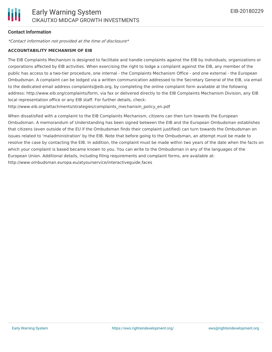### **Contact Information**

\*Contact information not provided at the time of disclosure\*

#### **ACCOUNTABILITY MECHANISM OF EIB**

The EIB Complaints Mechanism is designed to facilitate and handle complaints against the EIB by individuals, organizations or corporations affected by EIB activities. When exercising the right to lodge a complaint against the EIB, any member of the public has access to a two-tier procedure, one internal - the Complaints Mechanism Office - and one external - the European Ombudsman. A complaint can be lodged via a written communication addressed to the Secretary General of the EIB, via email to the dedicated email address complaints@eib.org, by completing the online complaint form available at the following address: http://www.eib.org/complaints/form, via fax or delivered directly to the EIB Complaints Mechanism Division, any EIB local representation office or any EIB staff. For further details, check:

http://www.eib.org/attachments/strategies/complaints\_mechanism\_policy\_en.pdf

When dissatisfied with a complaint to the EIB Complaints Mechanism, citizens can then turn towards the European Ombudsman. A memorandum of Understanding has been signed between the EIB and the European Ombudsman establishes that citizens (even outside of the EU if the Ombudsman finds their complaint justified) can turn towards the Ombudsman on issues related to 'maladministration' by the EIB. Note that before going to the Ombudsman, an attempt must be made to resolve the case by contacting the EIB. In addition, the complaint must be made within two years of the date when the facts on which your complaint is based became known to you. You can write to the Ombudsman in any of the languages of the European Union. Additional details, including filing requirements and complaint forms, are available at: http://www.ombudsman.europa.eu/atyourservice/interactiveguide.faces